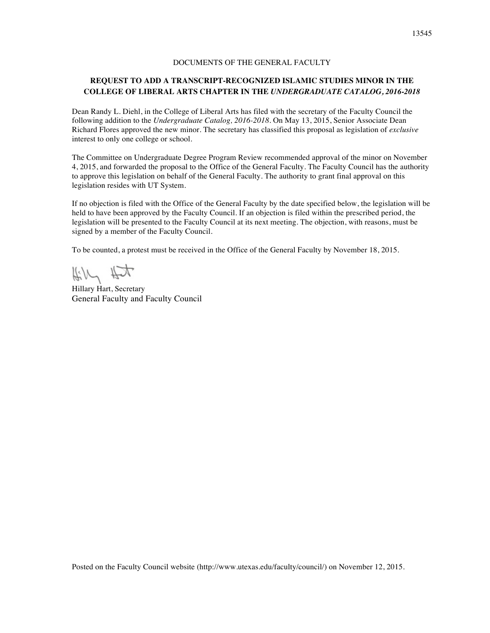# DOCUMENTS OF THE GENERAL FACULTY

# **REQUEST TO ADD A TRANSCRIPT-RECOGNIZED ISLAMIC STUDIES MINOR IN THE COLLEGE OF LIBERAL ARTS CHAPTER IN THE** *UNDERGRADUATE CATALOG, 2016-2018*

Dean Randy L. Diehl, in the College of Liberal Arts has filed with the secretary of the Faculty Council the following addition to the *Undergraduate Catalog, 2016-2018*. On May 13, 2015, Senior Associate Dean Richard Flores approved the new minor. The secretary has classified this proposal as legislation of *exclusive* interest to only one college or school.

The Committee on Undergraduate Degree Program Review recommended approval of the minor on November 4, 2015, and forwarded the proposal to the Office of the General Faculty. The Faculty Council has the authority to approve this legislation on behalf of the General Faculty. The authority to grant final approval on this legislation resides with UT System.

If no objection is filed with the Office of the General Faculty by the date specified below, the legislation will be held to have been approved by the Faculty Council. If an objection is filed within the prescribed period, the legislation will be presented to the Faculty Council at its next meeting. The objection, with reasons, must be signed by a member of the Faculty Council.

To be counted, a protest must be received in the Office of the General Faculty by November 18, 2015.

Kill Hit

Hillary Hart, Secretary General Faculty and Faculty Council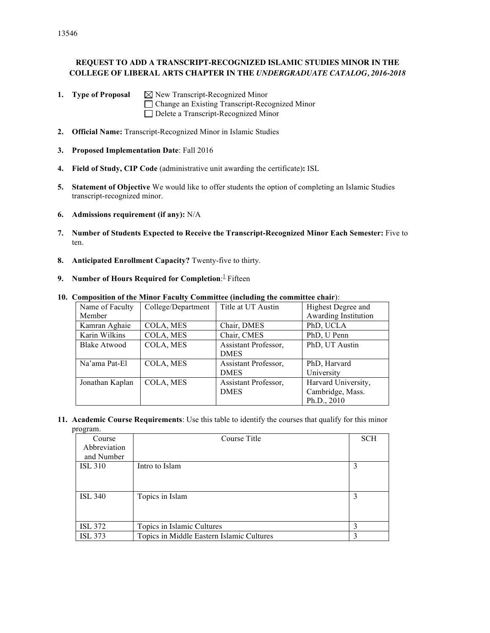**1. Type of Proposal**  $\boxtimes$  New Transcript-Recognized Minor Change an Existing Transcript-Recognized Minor Delete a Transcript-Recognized Minor

- **2. Official Name:** Transcript-Recognized Minor in Islamic Studies
- **3. Proposed Implementation Date**: Fall 2016
- **4. Field of Study, CIP Code** (administrative unit awarding the certificate)**:** ISL
- **5. Statement of Objective** We would like to offer students the option of completing an Islamic Studies transcript-recognized minor.
- **6. Admissions requirement (if any):** N/A
- **7. Number of Students Expected to Receive the Transcript-Recognized Minor Each Semester:** Five to ten.
- **8. Anticipated Enrollment Capacity?** Twenty-five to thirty.
- **9.** Number of Hours Required for Completion: Fifteen

| Name of Faculty     | College/Department | Title at UT Austin   | Highest Degree and   |
|---------------------|--------------------|----------------------|----------------------|
| Member              |                    |                      | Awarding Institution |
| Kamran Aghaie       | COLA, MES          | Chair, DMES          | PhD, UCLA            |
| Karin Wilkins       | COLA, MES          | Chair, CMES          | PhD, U Penn          |
| <b>Blake Atwood</b> | COLA, MES          | Assistant Professor, | PhD, UT Austin       |
|                     |                    | <b>DMES</b>          |                      |
| Na'ama Pat-El       | COLA, MES          | Assistant Professor, | PhD, Harvard         |
|                     |                    | <b>DMES</b>          | University           |
| Jonathan Kaplan     | COLA, MES          | Assistant Professor, | Harvard University,  |
|                     |                    | <b>DMES</b>          | Cambridge, Mass.     |
|                     |                    |                      | Ph.D., 2010          |

**10. Composition of the Minor Faculty Committee (including the committee chair**):

**11. Academic Course Requirements**: Use this table to identify the courses that qualify for this minor program.

| Course         | Course Title                              | <b>SCH</b> |
|----------------|-------------------------------------------|------------|
| Abbreviation   |                                           |            |
| and Number     |                                           |            |
| <b>ISL 310</b> | Intro to Islam                            | 3          |
|                |                                           |            |
|                |                                           |            |
| <b>ISL 340</b> | Topics in Islam                           | 3          |
|                |                                           |            |
|                |                                           |            |
| <b>ISL 372</b> | Topics in Islamic Cultures                | 3          |
| <b>ISL 373</b> | Topics in Middle Eastern Islamic Cultures | 3          |